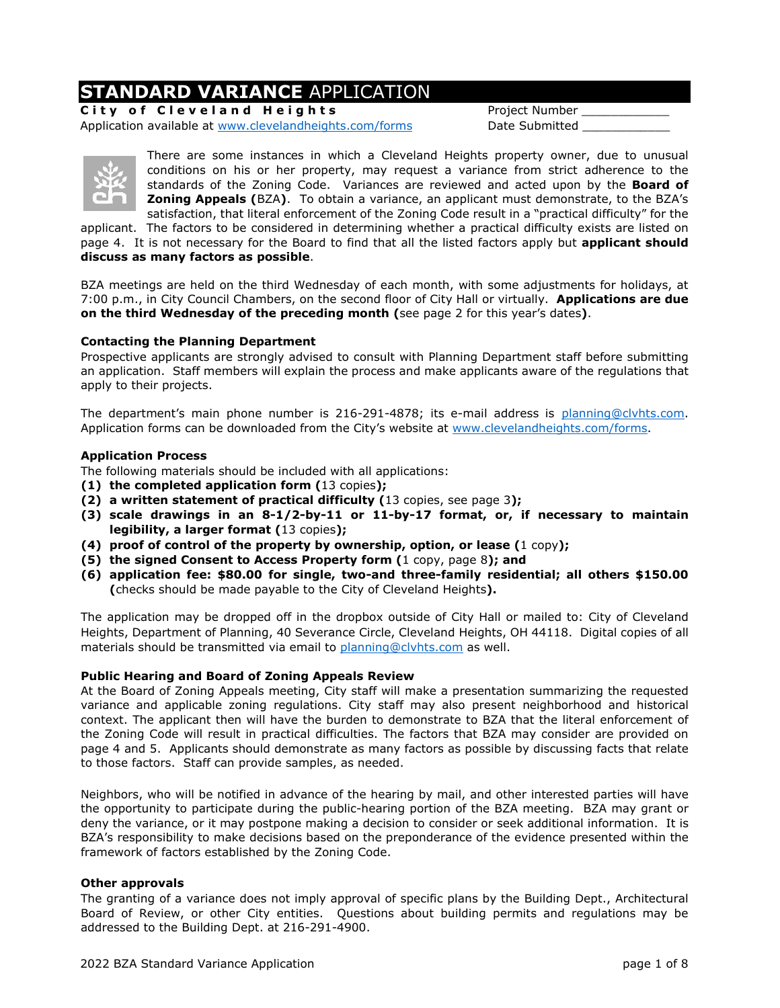## **STANDARD VARIANCE** APPLICATION

**City of Cleveland Heights** Project Number Application available at [www.clevelandheights.com/forms](http://www.clevelandheights.com/forms) Date Submitted



There are some instances in which a Cleveland Heights property owner, due to unusual conditions on his or her property, may request a variance from strict adherence to the standards of the Zoning Code. Variances are reviewed and acted upon by the **Board of Zoning Appeals (**BZA**)**. To obtain a variance, an applicant must demonstrate, to the BZA's satisfaction, that literal enforcement of the Zoning Code result in a "practical difficulty" for the

applicant. The factors to be considered in determining whether a practical difficulty exists are listed on page 4. It is not necessary for the Board to find that all the listed factors apply but **applicant should discuss as many factors as possible**.

BZA meetings are held on the third Wednesday of each month, with some adjustments for holidays, at 7:00 p.m., in City Council Chambers, on the second floor of City Hall or virtually. **Applications are due on the third Wednesday of the preceding month (**see page 2 for this year's dates**)**.

### **Contacting the Planning Department**

Prospective applicants are strongly advised to consult with Planning Department staff before submitting an application. Staff members will explain the process and make applicants aware of the regulations that apply to their projects.

The department's main phone number is 216-291-4878; its e-mail address is [planning@clvhts.com.](mailto:planning@clvhts.com) Application forms can be downloaded from the City's website at [www.clevelandheights.com/forms.](http://www.clevelandheights.com/forms)

#### **Application Process**

The following materials should be included with all applications:

- **(1) the completed application form (**13 copies**);**
- **(2) a written statement of practical difficulty (**13 copies, see page 3**);**
- **(3) scale drawings in an 8-1/2-by-11 or 11-by-17 format, or, if necessary to maintain legibility, a larger format (**13 copies**);**
- **(4) proof of control of the property by ownership, option, or lease (**1 copy**);**
- **(5) the signed Consent to Access Property form (**1 copy, page 8**); and**
- **(6) application fee: \$80.00 for single, two-and three-family residential; all others \$150.00 (**checks should be made payable to the City of Cleveland Heights**).**

The application may be dropped off in the dropbox outside of City Hall or mailed to: City of Cleveland Heights, Department of Planning, 40 Severance Circle, Cleveland Heights, OH 44118. Digital copies of all materials should be transmitted via email to [planning@clvhts.com](mailto:planning@clvhts.com) as well.

### **Public Hearing and Board of Zoning Appeals Review**

At the Board of Zoning Appeals meeting, City staff will make a presentation summarizing the requested variance and applicable zoning regulations. City staff may also present neighborhood and historical context. The applicant then will have the burden to demonstrate to BZA that the literal enforcement of the Zoning Code will result in practical difficulties. The factors that BZA may consider are provided on page 4 and 5. Applicants should demonstrate as many factors as possible by discussing facts that relate to those factors. Staff can provide samples, as needed.

Neighbors, who will be notified in advance of the hearing by mail, and other interested parties will have the opportunity to participate during the public-hearing portion of the BZA meeting. BZA may grant or deny the variance, or it may postpone making a decision to consider or seek additional information. It is BZA's responsibility to make decisions based on the preponderance of the evidence presented within the framework of factors established by the Zoning Code.

### **Other approvals**

The granting of a variance does not imply approval of specific plans by the Building Dept., Architectural Board of Review, or other City entities. Questions about building permits and regulations may be addressed to the Building Dept. at 216-291-4900.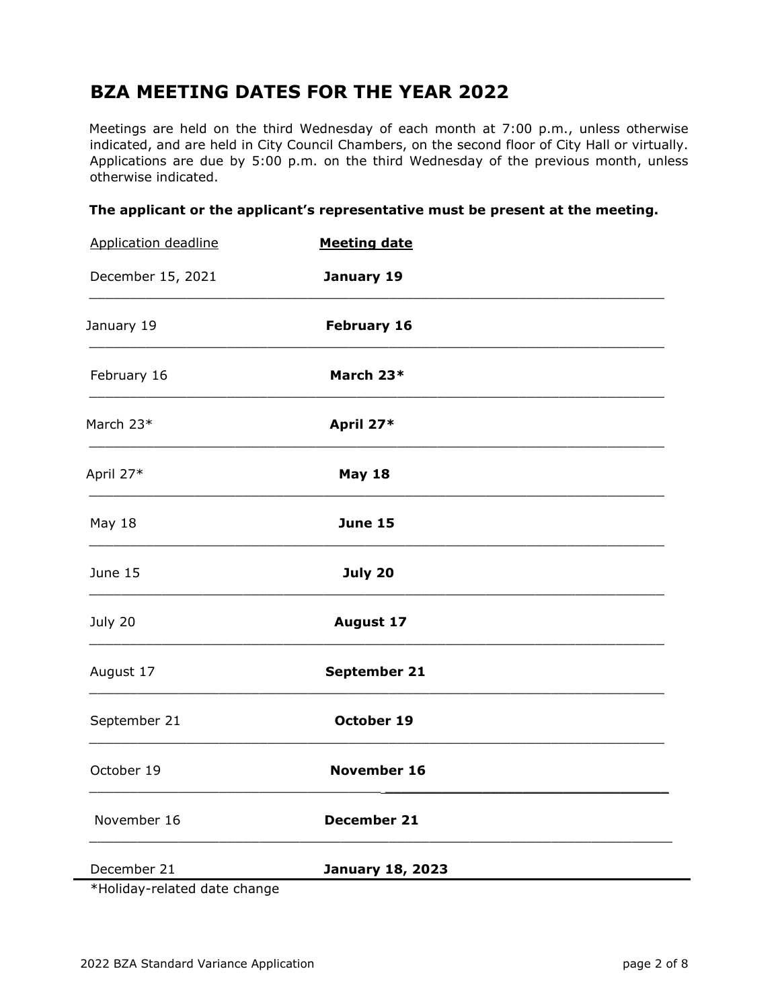## **BZA MEETING DATES FOR THE YEAR 2022**

Meetings are held on the third Wednesday of each month at 7:00 p.m., unless otherwise indicated, and are held in City Council Chambers, on the second floor of City Hall or virtually. Applications are due by 5:00 p.m. on the third Wednesday of the previous month, unless otherwise indicated.

|  |  | The applicant or the applicant's representative must be present at the meeting. |  |  |
|--|--|---------------------------------------------------------------------------------|--|--|
|--|--|---------------------------------------------------------------------------------|--|--|

| <b>Application deadline</b> | <b>Meeting date</b>     |  |  |
|-----------------------------|-------------------------|--|--|
| December 15, 2021           | January 19              |  |  |
| January 19                  | <b>February 16</b>      |  |  |
| February 16                 | March 23*               |  |  |
| March 23*                   | April 27*               |  |  |
| April 27*                   | <b>May 18</b>           |  |  |
| May 18                      | <b>June 15</b>          |  |  |
| June 15                     | July 20                 |  |  |
| July 20                     | <b>August 17</b>        |  |  |
| August 17                   | September 21            |  |  |
| September 21                | October 19              |  |  |
| October 19                  | November 16             |  |  |
| November 16                 | December 21             |  |  |
| December 21                 | <b>January 18, 2023</b> |  |  |

\*Holiday-related date change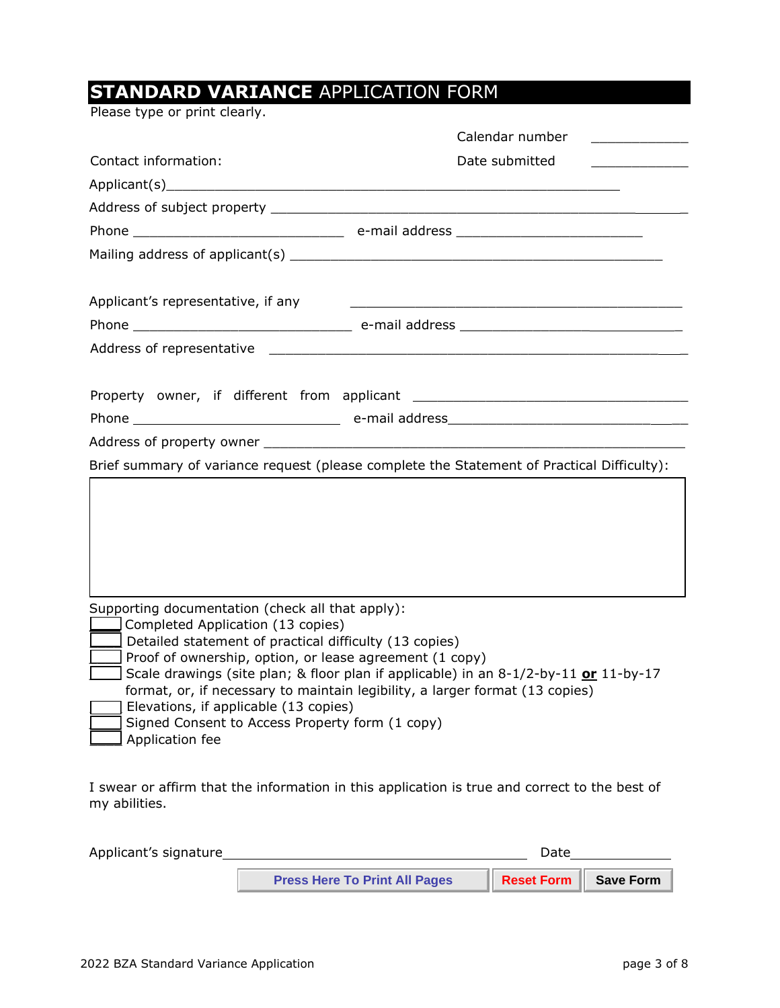# **STANDARD VARIANCE** APPLICATION FORM

Please type or print clearly.

|                                                                                                                                                                                                                                                                                                                           | Calendar number<br><u> 1980 - Jan Salaman III, prima prima prima prima prima prima prima prima prima prima prima prima prima prima p</u>                                                                                       |
|---------------------------------------------------------------------------------------------------------------------------------------------------------------------------------------------------------------------------------------------------------------------------------------------------------------------------|--------------------------------------------------------------------------------------------------------------------------------------------------------------------------------------------------------------------------------|
| Contact information:                                                                                                                                                                                                                                                                                                      | Date submitted<br>and the control of the control of                                                                                                                                                                            |
|                                                                                                                                                                                                                                                                                                                           | Applicant(s) experience and the set of the set of the set of the set of the set of the set of the set of the set of the set of the set of the set of the set of the set of the set of the set of the set of the set of the set |
|                                                                                                                                                                                                                                                                                                                           |                                                                                                                                                                                                                                |
|                                                                                                                                                                                                                                                                                                                           |                                                                                                                                                                                                                                |
|                                                                                                                                                                                                                                                                                                                           |                                                                                                                                                                                                                                |
| Applicant's representative, if any                                                                                                                                                                                                                                                                                        |                                                                                                                                                                                                                                |
|                                                                                                                                                                                                                                                                                                                           |                                                                                                                                                                                                                                |
|                                                                                                                                                                                                                                                                                                                           |                                                                                                                                                                                                                                |
|                                                                                                                                                                                                                                                                                                                           |                                                                                                                                                                                                                                |
|                                                                                                                                                                                                                                                                                                                           |                                                                                                                                                                                                                                |
|                                                                                                                                                                                                                                                                                                                           |                                                                                                                                                                                                                                |
|                                                                                                                                                                                                                                                                                                                           | Brief summary of variance request (please complete the Statement of Practical Difficulty):                                                                                                                                     |
|                                                                                                                                                                                                                                                                                                                           |                                                                                                                                                                                                                                |
| Supporting documentation (check all that apply):<br>Completed Application (13 copies)<br>Detailed statement of practical difficulty (13 copies)<br>Proof of ownership, option, or lease agreement (1 copy)<br>Elevations, if applicable (13 copies)<br>Signed Consent to Access Property form (1 copy)<br>Application fee | Scale drawings (site plan; & floor plan if applicable) in an 8-1/2-by-11 or 11-by-17<br>format, or, if necessary to maintain legibility, a larger format (13 copies)                                                           |
| $\sim$ . The state of the state of the state of the state of the state of the state of the state of the state of the state of the state of the state of the state of the state of the state of the state of the state of the st                                                                                           |                                                                                                                                                                                                                                |

I swear or affirm that the information in this application is true and correct to the best of my abilities.

| Applicant's signature |                                      | Date                        |  |
|-----------------------|--------------------------------------|-----------------------------|--|
|                       | <b>Press Here To Print All Pages</b> | <b>Reset Form Save Form</b> |  |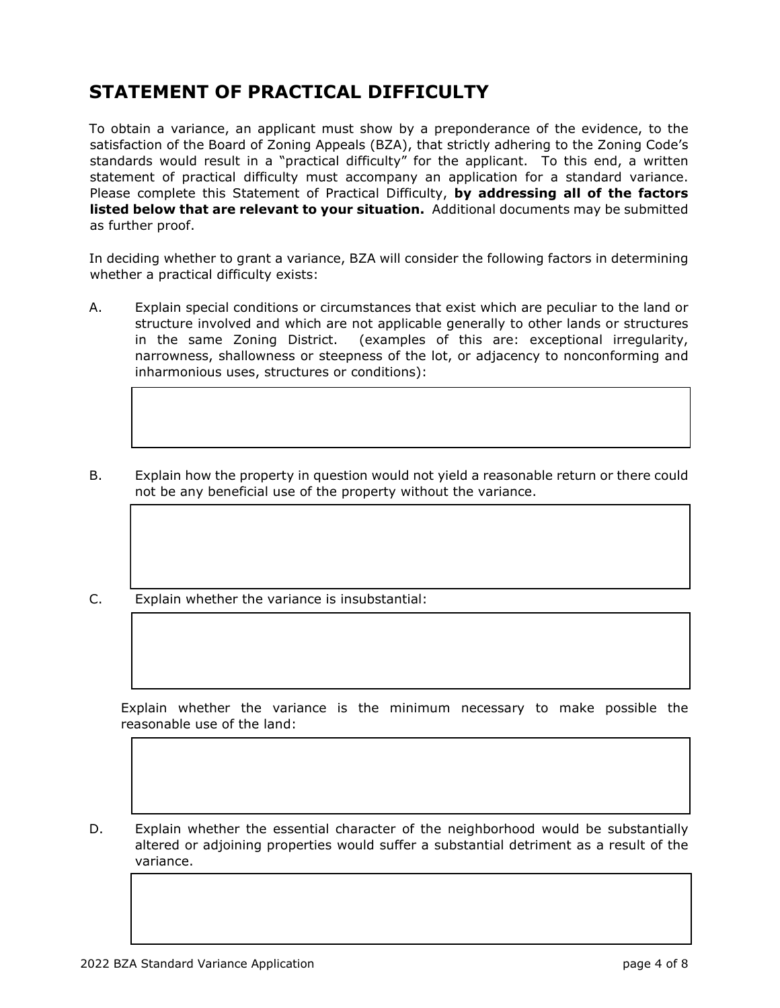## **STATEMENT OF PRACTICAL DIFFICULTY**

To obtain a variance, an applicant must show by a preponderance of the evidence, to the satisfaction of the Board of Zoning Appeals (BZA), that strictly adhering to the Zoning Code's standards would result in a "practical difficulty" for the applicant. To this end, a written statement of practical difficulty must accompany an application for a standard variance. Please complete this Statement of Practical Difficulty, **by addressing all of the factors listed below that are relevant to your situation.** Additional documents may be submitted as further proof.

In deciding whether to grant a variance, BZA will consider the following factors in determining whether a practical difficulty exists:

A. Explain special conditions or circumstances that exist which are peculiar to the land or structure involved and which are not applicable generally to other lands or structures in the same Zoning District. (examples of this are: exceptional irregularity, narrowness, shallowness or steepness of the lot, or adjacency to nonconforming and inharmonious uses, structures or conditions):

 $\mathcal{L}_\mathcal{L}$  , and the contribution of the contribution of the contribution of the contribution of the contribution of the contribution of the contribution of the contribution of the contribution of the contribution of

B. Explain how the property in question would not yield a reasonable return or there could not be any beneficial use of the property without the variance.

 $\mathcal{L}_\mathcal{L} = \mathcal{L}_\mathcal{L} = \mathcal{L}_\mathcal{L} = \mathcal{L}_\mathcal{L} = \mathcal{L}_\mathcal{L} = \mathcal{L}_\mathcal{L} = \mathcal{L}_\mathcal{L} = \mathcal{L}_\mathcal{L} = \mathcal{L}_\mathcal{L} = \mathcal{L}_\mathcal{L} = \mathcal{L}_\mathcal{L} = \mathcal{L}_\mathcal{L} = \mathcal{L}_\mathcal{L} = \mathcal{L}_\mathcal{L} = \mathcal{L}_\mathcal{L} = \mathcal{L}_\mathcal{L} = \mathcal{L}_\mathcal{L}$ 

 $\mathcal{L}_\mathcal{L} = \mathcal{L}_\mathcal{L} = \mathcal{L}_\mathcal{L} = \mathcal{L}_\mathcal{L} = \mathcal{L}_\mathcal{L} = \mathcal{L}_\mathcal{L} = \mathcal{L}_\mathcal{L} = \mathcal{L}_\mathcal{L} = \mathcal{L}_\mathcal{L} = \mathcal{L}_\mathcal{L} = \mathcal{L}_\mathcal{L} = \mathcal{L}_\mathcal{L} = \mathcal{L}_\mathcal{L} = \mathcal{L}_\mathcal{L} = \mathcal{L}_\mathcal{L} = \mathcal{L}_\mathcal{L} = \mathcal{L}_\mathcal{L}$ 

C. Explain whether the variance is insubstantial:

 Explain whether the variance is the minimum necessary to make possible the reasonable use of the land:

 $\mathcal{L}_\mathcal{L} = \mathcal{L}_\mathcal{L} = \mathcal{L}_\mathcal{L} = \mathcal{L}_\mathcal{L} = \mathcal{L}_\mathcal{L} = \mathcal{L}_\mathcal{L} = \mathcal{L}_\mathcal{L} = \mathcal{L}_\mathcal{L} = \mathcal{L}_\mathcal{L} = \mathcal{L}_\mathcal{L} = \mathcal{L}_\mathcal{L} = \mathcal{L}_\mathcal{L} = \mathcal{L}_\mathcal{L} = \mathcal{L}_\mathcal{L} = \mathcal{L}_\mathcal{L} = \mathcal{L}_\mathcal{L} = \mathcal{L}_\mathcal{L}$ 

 $\mathcal{L}_\mathcal{L} = \{ \mathcal{L}_\mathcal{L} = \{ \mathcal{L}_\mathcal{L} = \{ \mathcal{L}_\mathcal{L} = \{ \mathcal{L}_\mathcal{L} = \{ \mathcal{L}_\mathcal{L} = \{ \mathcal{L}_\mathcal{L} = \{ \mathcal{L}_\mathcal{L} = \{ \mathcal{L}_\mathcal{L} = \{ \mathcal{L}_\mathcal{L} = \{ \mathcal{L}_\mathcal{L} = \{ \mathcal{L}_\mathcal{L} = \{ \mathcal{L}_\mathcal{L} = \{ \mathcal{L}_\mathcal{L} = \{ \mathcal{L}_\mathcal{$ 

D. Explain whether the essential character of the neighborhood would be substantially altered or adjoining properties would suffer a substantial detriment as a result of the variance.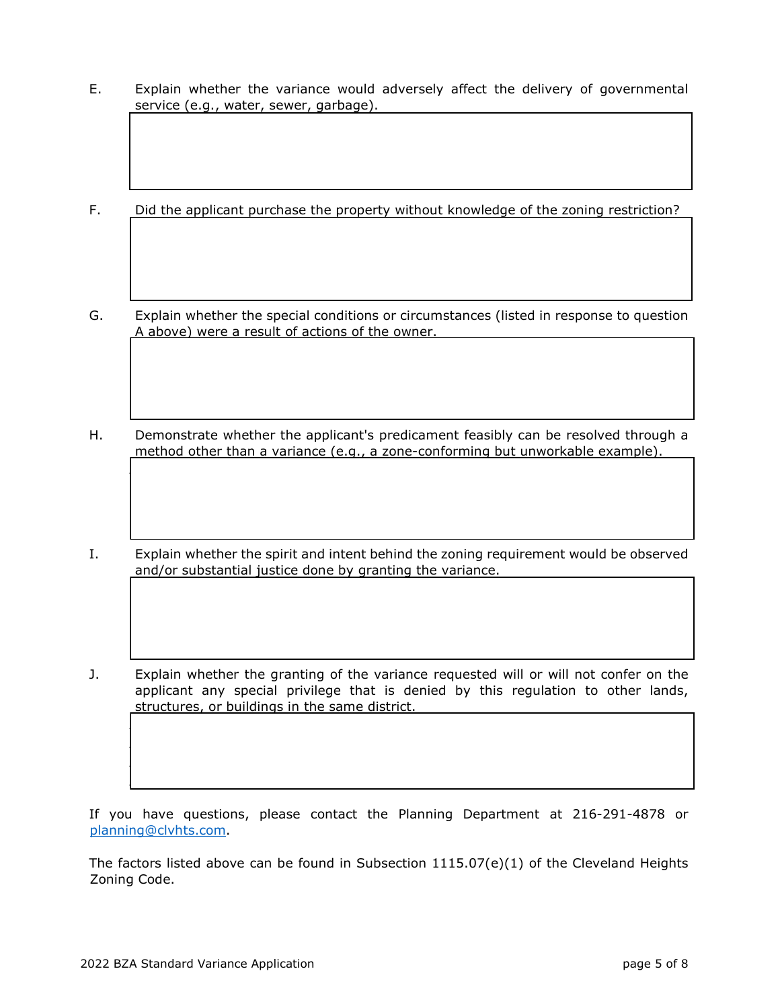- E. Explain whether the variance would adversely affect the delivery of governmental service (e.g., water, sewer, garbage).
- F. Did the applicant purchase the property without knowledge of the zoning restriction?
- G. Explain whether the special conditions or circumstances (listed in response to question A above) were a result of actions of the owner.
- H. Demonstrate whether the applicant's predicament feasibly can be resolved through a method other than a variance (e.g., a zone-conforming but unworkable example).

 $\Box$ 

- I. Explain whether the spirit and intent behind the zoning requirement would be observed and/or substantial justice done by granting the variance.
- J. Explain whether the granting of the variance requested will or will not confer on the applicant any special privilege that is denied by this regulation to other lands, structures, or buildings in the same district.  $\Box$

 $\Box$  $\Box$  $\Box$ 

If you have questions, please contact the Planning Department at 216-291-4878 or [planning@clvhts.com.](mailto:planning@clvhts.com)

The factors listed above can be found in Subsection 1115.07(e)(1) of the Cleveland Heights Zoning Code.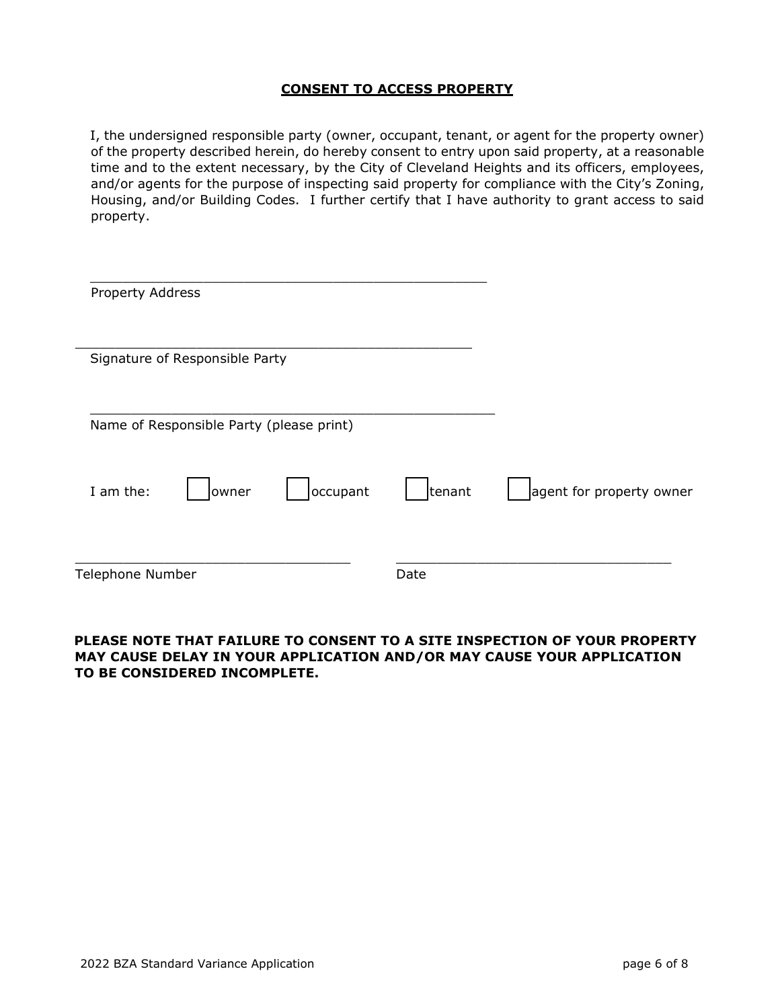## **CONSENT TO ACCESS PROPERTY**

I, the undersigned responsible party (owner, occupant, tenant, or agent for the property owner) of the property described herein, do hereby consent to entry upon said property, at a reasonable time and to the extent necessary, by the City of Cleveland Heights and its officers, employees, and/or agents for the purpose of inspecting said property for compliance with the City's Zoning, Housing, and/or Building Codes. I further certify that I have authority to grant access to said property.

| Property Address |                                          |          |        |                          |
|------------------|------------------------------------------|----------|--------|--------------------------|
|                  | Signature of Responsible Party           |          |        |                          |
|                  | Name of Responsible Party (please print) |          |        |                          |
| I am the:        | owner                                    | occupant | tenant | agent for property owner |
| Telephone Number |                                          |          | Date   |                          |

### **PLEASE NOTE THAT FAILURE TO CONSENT TO A SITE INSPECTION OF YOUR PROPERTY MAY CAUSE DELAY IN YOUR APPLICATION AND/OR MAY CAUSE YOUR APPLICATION TO BE CONSIDERED INCOMPLETE.**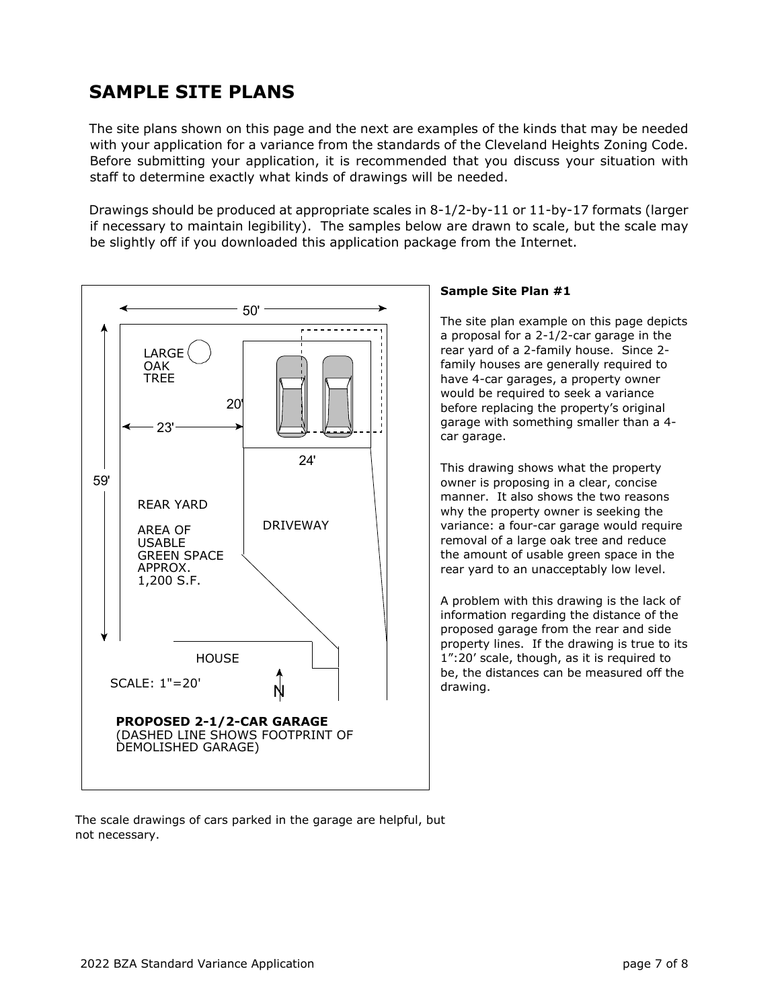## **SAMPLE SITE PLANS**

The site plans shown on this page and the next are examples of the kinds that may be needed with your application for a variance from the standards of the Cleveland Heights Zoning Code. Before submitting your application, it is recommended that you discuss your situation with staff to determine exactly what kinds of drawings will be needed.

Drawings should be produced at appropriate scales in 8-1/2-by-11 or 11-by-17 formats (larger if necessary to maintain legibility). The samples below are drawn to scale, but the scale may be slightly off if you downloaded this application package from the Internet.



#### The scale drawings of cars parked in the garage are helpful, but not necessary.

### **Sample Site Plan #1**

The site plan example on this page depicts a proposal for a 2-1/2-car garage in the rear yard of a 2-family house. Since 2 family houses are generally required to have 4-car garages, a property owner would be required to seek a variance before replacing the property's original garage with something smaller than a 4 car garage.

This drawing shows what the property owner is proposing in a clear, concise manner. It also shows the two reasons why the property owner is seeking the variance: a four-car garage would require removal of a large oak tree and reduce the amount of usable green space in the rear yard to an unacceptably low level.

A problem with this drawing is the lack of information regarding the distance of the proposed garage from the rear and side property lines. If the drawing is true to its 1":20' scale, though, as it is required to be, the distances can be measured off the drawing.